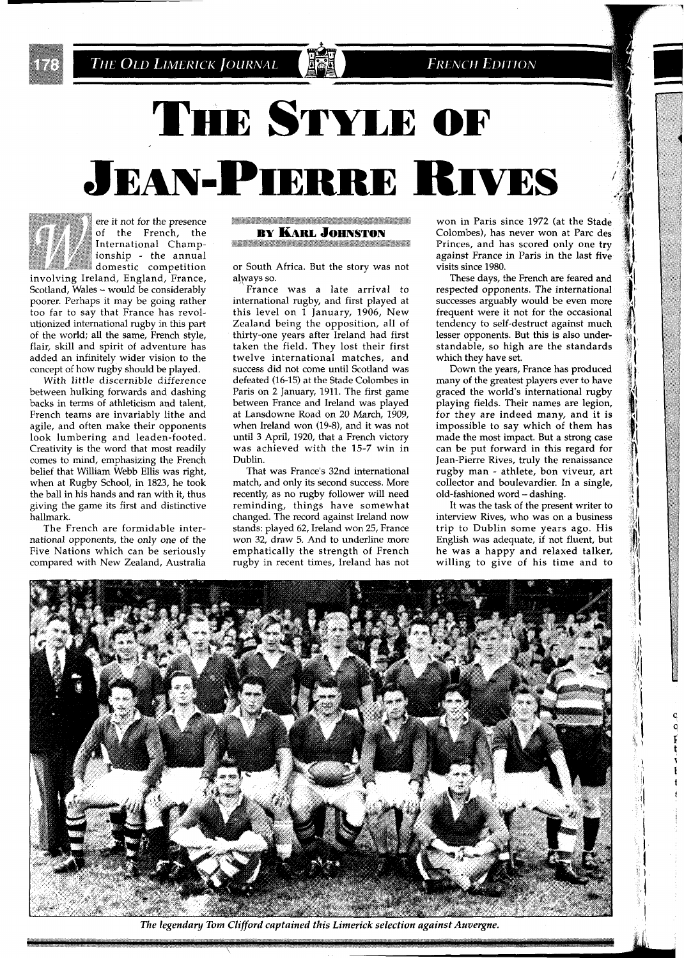THE OLD LIMERICK JOURNAL

# **THE STYLE OF JEAN-PIERRE RIVES**



ere it not for the presence<br>of the French, the International Champ-International Championship - the annual<br>domestic competition

involving Ireland, England, France, Scotland, Wales - would be considerably poorer. Perhaps it may be going rather too far to say that France has revolutionized international rugby in this part of the world; all the same, French style, flair, skill and spirit of adventure has added an infinitely wider vision to the concept of how rugby should be played.

With little discernible difference between hulking forwards and dashing backs in terms of athleticism and talent, French teams are invariably lithe and agile, and often make their opponents look lumbering and leaden-footed. Creativity is the word that most readily comes to mind, emphasizing the French belief that William Webb Ellis was right, when at Rugby School, in 1823, he took the ball in his hands and ran with it, thus giving the game its first and distinctive hallmark.

The French are formidable international opponents, the only one of the Five Nations which can be seriously compared with New Zealand, Australia

**MARKET AND THE REAL PROPERTY AND RELEASED FOLLOW BY KARL JOHNSTON** <u>TERMITAN METERATUR TERMIZ ETA ERA</u>

or South Africa. But the story was not always so.

France was a late arrival to international rugby, and first played at this level on 1 January, 1906, New Zealand being the opposition, all of thirty-one years after Ireland had first taken the field. They lost their first twelve international matches, and success did not come until Scotland was defeated (16-15) at the Stade Colombes in Paris on 2 January, 1911. The first game between France and Ireland was played at Lansdowne Road on 20 March, 1909, when Ireland won (19-8), and it was not until **3** April, 1920, that a French victory was achieved with the 15-7 win in Dublin.

That was France's 32nd international match, and only its second success. More recently, as no rugby follower will need reminding, things have somewhat changed. The record against Ireland now stands: played 62, Ireland won 25, France won *32,* draw 5. And to underline more emphatically the strength of French rugby in recent times, Ireland has not

won in Paris since 1972 (at the Stade Colombes), has never won at Parc des Princes, and has scored only one try against France in Paris in the last five visits since 1980.

These days, the French are feared and respected opponents. The international successes arguably would be even more frequent were it not for the occasional tendency to self-destruct against much lesser opponents. But this is also understandable, so high are the standards which they have set.

Down the years, France has produced many of the greatest players ever to have graced the world's international rugby playing fields. Their names are legion, for they are indeed many, and it is impossible to say which of them has made the most impact. But a strong case can be put forward in this regard for Jean-Pierre Rives, truly the renaissance rugby man - athlete, bon viveur, art collector and boulevardier. In a single, old-fashioned word - dashing.

It was the task of the present writer to interview Rives, who was on a business trip to Dublin some years ago. His English was adequate, if not fluent, but he was a happy and relaxed talker, willing to give of his time and to

> $\frac{q}{q}$  $\mathbf{f}$



*The legendary Tom Clifford captained this Limerick selection against Auvergne.*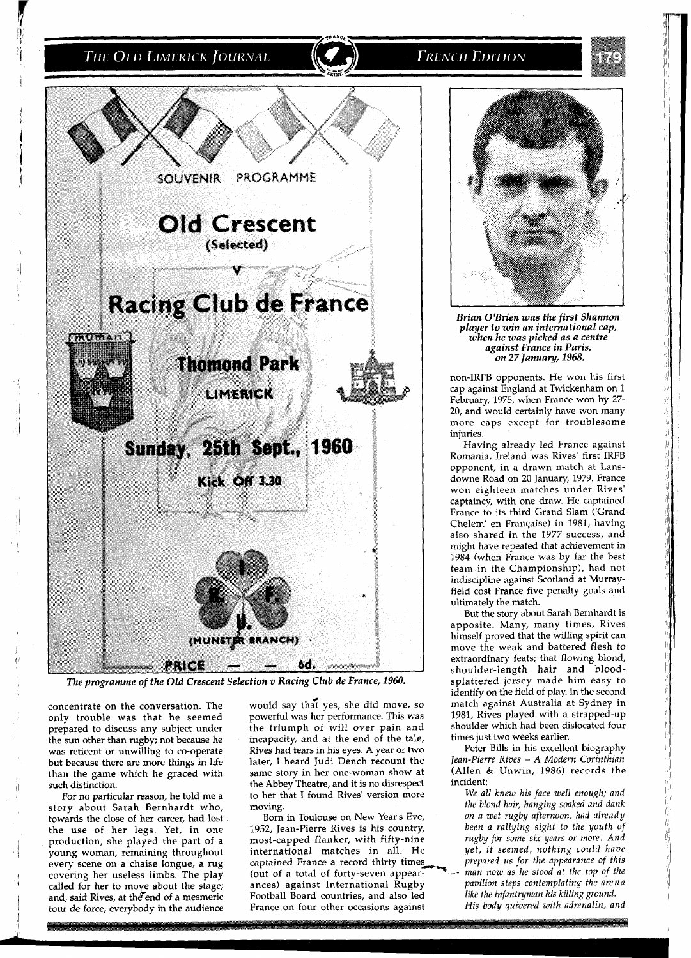## THE OLD LIMERICK JOURNAL

**FRENCH EDITION** 



concentrate on the conversation. The only trouble was that he seemed prepared to discuss any subject under the sun other than rugby; not because he was reticent or unwilling to co-operate but because there are more things in life than the game which he graced with such distinction.

For no particular reason, he told me a story about Sarah Bernhardt who, towards the close of her career, had lost tour de force, everybody in the audience

**<sup>4</sup>**would say that yes, she did move, so powerful was her performance. This was the triumph of will over pain and incapacity, and at the end of the tale, Rives had tears in his eyes. A year or two later, I heard Judi Dench recount the same story in her one-woman show at the Abbey Theatre, and it is no disrespect to her that I found Rives' version more moving.

Born in Toulouse on New Year's Eve,<br>1952, Jean-Pierre Rives is his country, the use of her legs. Yet, in one 1952, Jean-Pierre Rives is his country, production, she played the part of a most-capped flanker, with fifty-nine production, she played the part of a most-capped flanker, with fifty-nine young woman, remaining throughout international matches in all. He every scene on a chaise longue, a rug captained France a record thirty times international matches in all. He *yet, it seemed, nothing could have* captained France a record thirty times *prepared us for the appearance of this* (out of a total of forty-seven appear-<br>*man now as he stood at the top o* covering her useless limbs. The play (out of a total of forty-seven appear-  $-$  *man now as he stood at the top of the* called for her to move about the stage; ances) against International Rugby *pavilion steps contemplati* ances) against International Rugby *pavilion steps contemplating the arena coordinal Rugby pavilion steps contemplating ground.* and, said Rives, at the end of a mesmeric Football Board countries, and also led *like the infantryman his killing ground.*<br>
stour de force, everybody in the audience France on four other occasions against *His body quiver* 



*Brian OfBrien was the first Shannon player to win an international cap, when he was picked as a centre against France in Paris, on* **27** *January, 1968.* 

non-IRFB opponents. He won his first cap against England at Twickenham on I February, 1975, when France won by 27- 20, and would certainly have won many more caps except for troublesome injuries.

Having already led France against Romania, Ireland was Rives' first IRFB opponent, in a drawn match at Lansdowne Road on 20 January, 1979. France won eighteen matches under Rives' captaincy, with one draw. He captained France to its third Grand Slam ('Grand Chelem' en Franqaise) in 1981, having also shared in the 1977 success, and might have repeated that achievement in 1984 (when France was by far the best team in the Championship), had not indiscipline against Scotland at Murrayfield cost France five penalty goals and ultimately the match.

But the story about Sarah Bernhardt is apposite. Many, many times, Rives himself proved that the willing spirit can move the weak and battered flesh to extraordinary feats; that flowing blond, shoulder-length hair and bloodsplattered jersey made him easy to identify on the field of play. In the second match against Australia at Sydney in 1981, Rives played with a strapped-up shoulder which had been dislocated four times just two weeks earlier.

Peter Bills in his excellent biography *Jean-Pierre Rives* - *A Modern Corinthian*  (Allen & Unwin, 1986) records the incident:

We all knew his face well enough; and *the blond hair, hanging soaked and dank on a wet rugby afternoon, had already been a rallying sight to the youth of rugby for some six years or more. And*